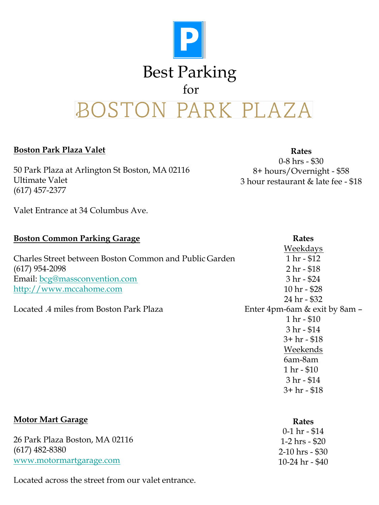

## **Boston Park Plaza Valet**

**Motor Mart Garage**

50 Park Plaza at Arlington St Boston, MA 02116 Ultimate Valet (617) 457-2377

**Rates** 0-8 hrs - \$30 8+ hours/Overnight - \$58 3 hour restaurant & late fee - \$18

**Rates**

Valet Entrance at 34 Columbus Ave.

| <b>Rates</b>                  |
|-------------------------------|
| Weekdays                      |
| $1 hr - $12$                  |
| $2 hr - $18$                  |
| $3 hr - $24$                  |
| 10 hr - \$28                  |
| 24 hr - \$32                  |
| Enter 4pm-6am & exit by 8am – |
| 1 hr - \$10                   |
| $3 hr - $14$                  |
| $3+hr - $18$                  |
| Weekends                      |
| 6am-8am                       |
| $1 hr - $10$                  |
| $3 hr - $14$                  |
| $3+hr - $18$                  |
|                               |

|                                | 0-1 hr - \$14     |
|--------------------------------|-------------------|
| 26 Park Plaza Boston, MA 02116 | 1-2 hrs - \$20    |
| $(617)$ 482-8380               | $2-10$ hrs - \$30 |
| www.motormartgarage.com        | 10-24 hr - $$40$  |

Located across the street from our valet entrance.